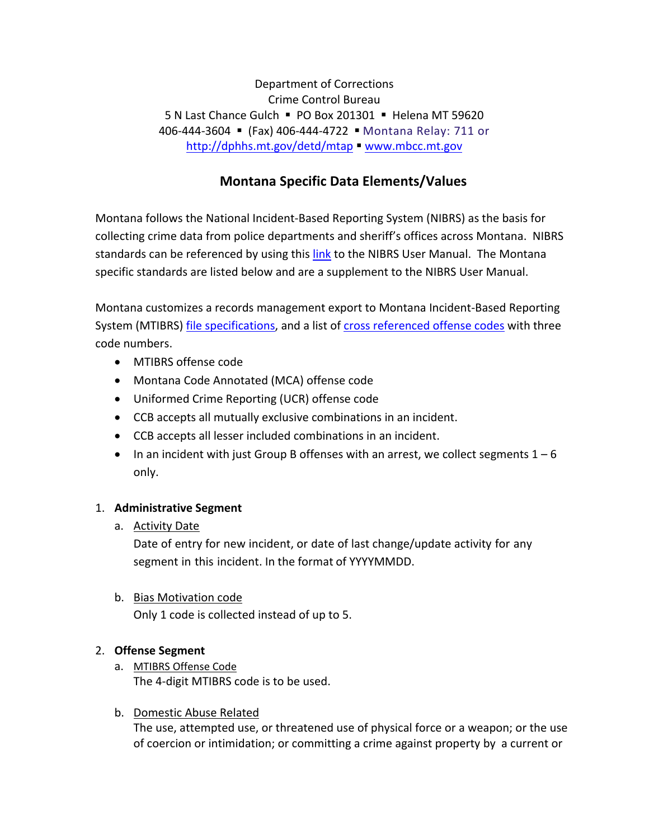Department of Corrections Crime Control Bureau 5 N Last Chance Gulch PO Box 201301 Helena MT 59620 406‐444‐3604 (Fax) 406‐444‐4722 Montana Relay: 711 or http://dphhs.mt.gov/detd/mtap " www.mbcc.mt.gov

# **Montana Specific Data Elements/Values**

Montana follows the National Incident‐Based Reporting System (NIBRS) as the basis for collecting crime data from police departments and sheriff's offices across Montana. NIBRS standards can be referenced by using this link to the NIBRS User Manual. The Montana specific standards are listed below and are a supplement to the NIBRS User Manual.

Montana customizes a records management export to Montana Incident‐Based Reporting System (MTIBRS) file specifications, and a list of cross referenced offense codes with three code numbers.

- MTIBRS offense code
- Montana Code Annotated (MCA) offense code
- Uniformed Crime Reporting (UCR) offense code
- CCB accepts all mutually exclusive combinations in an incident.
- CCB accepts all lesser included combinations in an incident.
- In an incident with just Group B offenses with an arrest, we collect segments  $1 6$ only.

## 1. **Administrative Segment**

## a. Activity Date

Date of entry for new incident, or date of last change/update activity for any segment in this incident. In the format of YYYYMMDD.

## b. Bias Motivation code

Only 1 code is collected instead of up to 5.

## 2. **Offense Segment**

a. MTIBRS Offense Code The 4‐digit MTIBRS code is to be used.

## b. Domestic Abuse Related

The use, attempted use, or threatened use of physical force or a weapon; or the use of coercion or intimidation; or committing a crime against property by a current or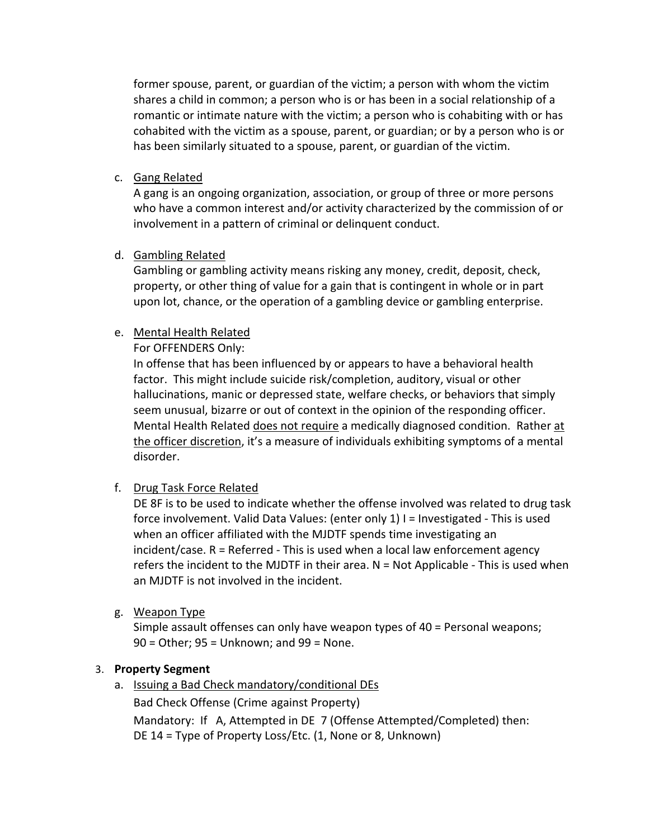former spouse, parent, or guardian of the victim; a person with whom the victim shares a child in common; a person who is or has been in a social relationship of a romantic or intimate nature with the victim; a person who is cohabiting with or has cohabited with the victim as a spouse, parent, or guardian; or by a person who is or has been similarly situated to a spouse, parent, or guardian of the victim.

c. Gang Related

A gang is an ongoing organization, association, or group of three or more persons who have a common interest and/or activity characterized by the commission of or involvement in a pattern of criminal or delinquent conduct.

### d. Gambling Related

Gambling or gambling activity means risking any money, credit, deposit, check, property, or other thing of value for a gain that is contingent in whole or in part upon lot, chance, or the operation of a gambling device or gambling enterprise.

## e. Mental Health Related

For OFFENDERS Only:

In offense that has been influenced by or appears to have a behavioral health factor. This might include suicide risk/completion, auditory, visual or other hallucinations, manic or depressed state, welfare checks, or behaviors that simply seem unusual, bizarre or out of context in the opinion of the responding officer. Mental Health Related does not require a medically diagnosed condition. Rather at the officer discretion, it's a measure of individuals exhibiting symptoms of a mental disorder.

f. Drug Task Force Related

DE 8F is to be used to indicate whether the offense involved was related to drug task force involvement. Valid Data Values: (enter only 1) I = Investigated - This is used when an officer affiliated with the MJDTF spends time investigating an incident/case. R = Referred ‐ This is used when a local law enforcement agency refers the incident to the MJDTF in their area.  $N = Not$  Applicable - This is used when an MJDTF is not involved in the incident.

g. Weapon Type

Simple assault offenses can only have weapon types of 40 = Personal weapons; 90 = Other; 95 = Unknown; and 99 = None.

## 3. **Property Segment**

a. Issuing a Bad Check mandatory/conditional DEs

Bad Check Offense (Crime against Property)

Mandatory: If A, Attempted in DE 7 (Offense Attempted/Completed) then: DE 14 = Type of Property Loss/Etc. (1, None or 8, Unknown)